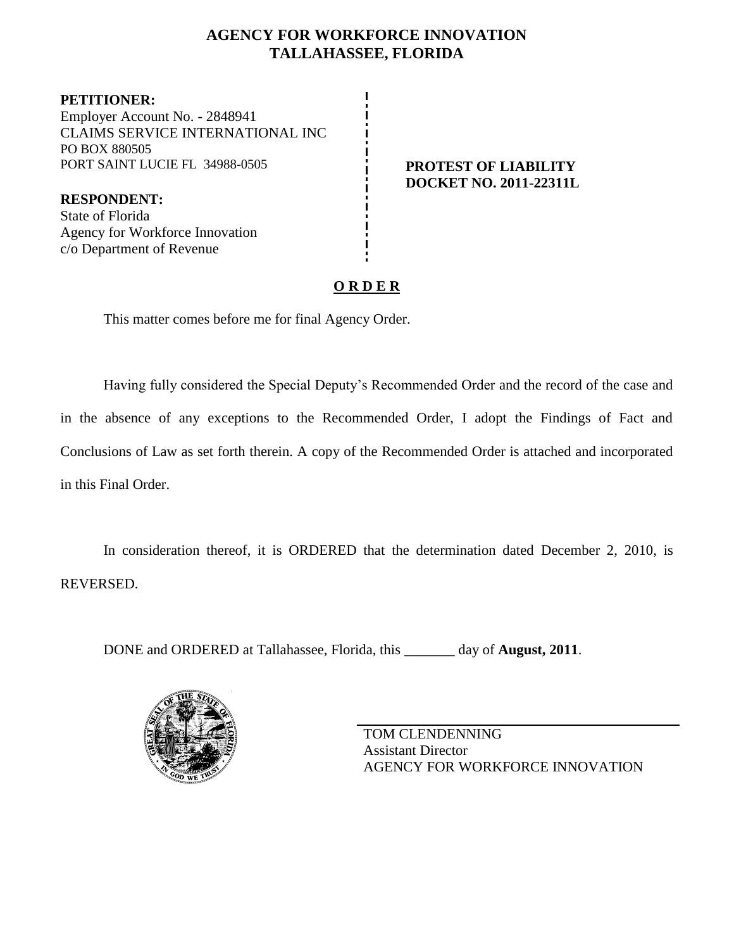## **AGENCY FOR WORKFORCE INNOVATION TALLAHASSEE, FLORIDA**

**PETITIONER:** Employer Account No. - 2848941 CLAIMS SERVICE INTERNATIONAL INC PO BOX 880505 PORT SAINT LUCIE FL 34988-0505 **PROTEST OF LIABILITY** 

**DOCKET NO. 2011-22311L**

**RESPONDENT:** State of Florida Agency for Workforce Innovation c/o Department of Revenue

# **O R D E R**

This matter comes before me for final Agency Order.

Having fully considered the Special Deputy's Recommended Order and the record of the case and in the absence of any exceptions to the Recommended Order, I adopt the Findings of Fact and Conclusions of Law as set forth therein. A copy of the Recommended Order is attached and incorporated in this Final Order.

In consideration thereof, it is ORDERED that the determination dated December 2, 2010, is REVERSED.

DONE and ORDERED at Tallahassee, Florida, this **\_\_\_\_\_\_\_** day of **August, 2011**.



TOM CLENDENNING Assistant Director AGENCY FOR WORKFORCE INNOVATION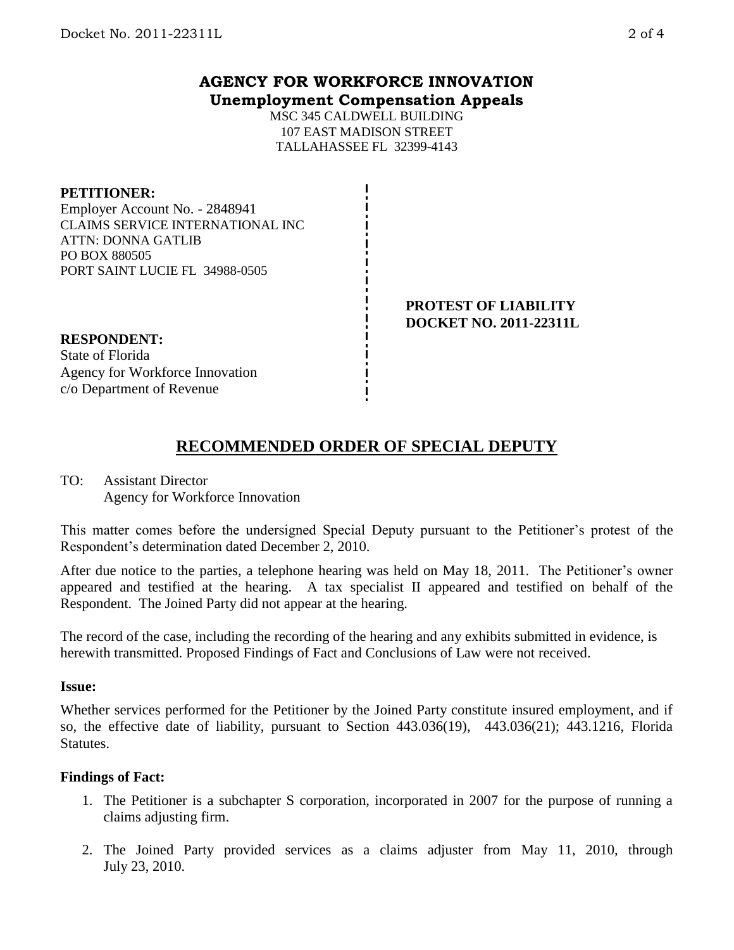## **AGENCY FOR WORKFORCE INNOVATION Unemployment Compensation Appeals**

MSC 345 CALDWELL BUILDING 107 EAST MADISON STREET TALLAHASSEE FL 32399-4143

### **PETITIONER:**

Employer Account No. - 2848941 CLAIMS SERVICE INTERNATIONAL INC ATTN: DONNA GATLIB PO BOX 880505 PORT SAINT LUCIE FL 34988-0505

> **PROTEST OF LIABILITY DOCKET NO. 2011-22311L**

# **RESPONDENT:**

State of Florida Agency for Workforce Innovation c/o Department of Revenue

# **RECOMMENDED ORDER OF SPECIAL DEPUTY**

## TO: Assistant Director Agency for Workforce Innovation

This matter comes before the undersigned Special Deputy pursuant to the Petitioner's protest of the Respondent's determination dated December 2, 2010.

After due notice to the parties, a telephone hearing was held on May 18, 2011. The Petitioner's owner appeared and testified at the hearing. A tax specialist II appeared and testified on behalf of the Respondent. The Joined Party did not appear at the hearing.

The record of the case, including the recording of the hearing and any exhibits submitted in evidence, is herewith transmitted. Proposed Findings of Fact and Conclusions of Law were not received.

### **Issue:**

Whether services performed for the Petitioner by the Joined Party constitute insured employment, and if so, the effective date of liability, pursuant to Section 443.036(19), 443.036(21); 443.1216, Florida Statutes.

### **Findings of Fact:**

- 1. The Petitioner is a subchapter S corporation, incorporated in 2007 for the purpose of running a claims adjusting firm.
- 2. The Joined Party provided services as a claims adjuster from May 11, 2010, through July 23, 2010.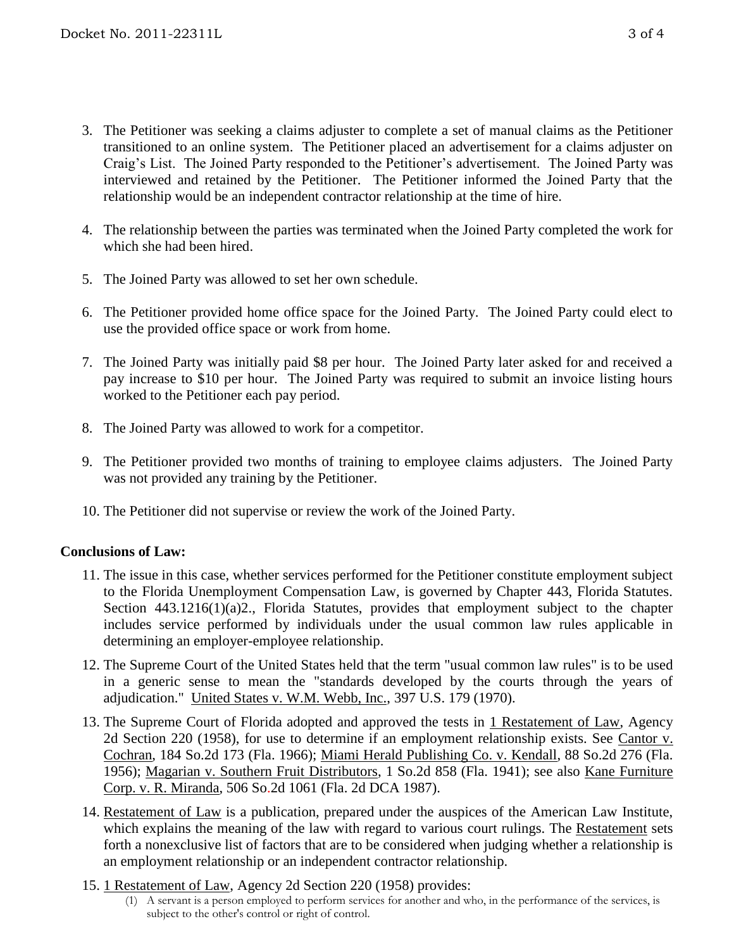- 3. The Petitioner was seeking a claims adjuster to complete a set of manual claims as the Petitioner transitioned to an online system. The Petitioner placed an advertisement for a claims adjuster on Craig's List. The Joined Party responded to the Petitioner's advertisement. The Joined Party was interviewed and retained by the Petitioner. The Petitioner informed the Joined Party that the relationship would be an independent contractor relationship at the time of hire.
- 4. The relationship between the parties was terminated when the Joined Party completed the work for which she had been hired.
- 5. The Joined Party was allowed to set her own schedule.
- 6. The Petitioner provided home office space for the Joined Party. The Joined Party could elect to use the provided office space or work from home.
- 7. The Joined Party was initially paid \$8 per hour. The Joined Party later asked for and received a pay increase to \$10 per hour. The Joined Party was required to submit an invoice listing hours worked to the Petitioner each pay period.
- 8. The Joined Party was allowed to work for a competitor.
- 9. The Petitioner provided two months of training to employee claims adjusters. The Joined Party was not provided any training by the Petitioner.
- 10. The Petitioner did not supervise or review the work of the Joined Party.

## **Conclusions of Law:**

- 11. The issue in this case, whether services performed for the Petitioner constitute employment subject to the Florida Unemployment Compensation Law, is governed by Chapter 443, Florida Statutes. Section 443.1216(1)(a)2., Florida Statutes, provides that employment subject to the chapter includes service performed by individuals under the usual common law rules applicable in determining an employer-employee relationship.
- 12. The Supreme Court of the United States held that the term "usual common law rules" is to be used in a generic sense to mean the "standards developed by the courts through the years of adjudication." United States v. W.M. Webb, Inc., 397 U.S. 179 (1970).
- 13. The Supreme Court of Florida adopted and approved the tests in 1 Restatement of Law, Agency 2d Section 220 (1958), for use to determine if an employment relationship exists. See Cantor v. Cochran, 184 So.2d 173 (Fla. 1966); Miami Herald Publishing Co. v. Kendall, 88 So.2d 276 (Fla. 1956); Magarian v. Southern Fruit Distributors, 1 So.2d 858 (Fla. 1941); see also Kane Furniture Corp. v. R. Miranda, 506 So.2d 1061 (Fla. 2d DCA 1987).
- 14. Restatement of Law is a publication, prepared under the auspices of the American Law Institute, which explains the meaning of the law with regard to various court rulings. The Restatement sets forth a nonexclusive list of factors that are to be considered when judging whether a relationship is an employment relationship or an independent contractor relationship.
- 15. 1 Restatement of Law, Agency 2d Section 220 (1958) provides:
	- (1) A servant is a person employed to perform services for another and who, in the performance of the services, is subject to the other's control or right of control.